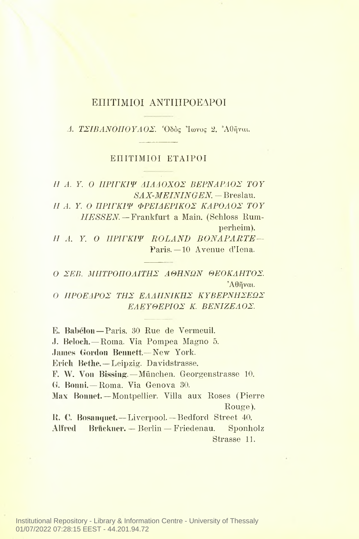## ΕΠΙΤΙΜΙΟΙ ΑΝΤΙΠΡΟΕΔΡΟΙ

*Δ. ΤΣΙΒΑΝΟΙΙΟΥΛΟΣ.* Όδός Ίωνος 2. Άθήναι.

## ΕΠΙΤΙΜΙΟΙ ΕΤΑΙΡΟΙ

*II A. Υ. ΠΡΙΓΚΙΨ ΔΙΑΔΟΧΟΣ ΒΕΡΝΑΡΔΟΣ ΤΟΥ* SA*Χ-ΜΕININGEN.*-Breslau. *II A. Y. ΙΙΡΙΓΚΙΨ ΦΡΕΙΔΕΡΙΚΟΣ ΚΑΡΟΛΟΣ TOY HESSEN.* — Frankfurt a Main. (Schloss Rum-

perheim).

*II A. Y. ΙΙΡΙΓΚΙΨ ROLAND BONAPARTE—* Paris. —10 Avenue d'lena.

*ΣΕΒ. ΜΗΤΡΟΠΟΛΙΤΗΣ ΑΘΗΝΩΝ ΘΕΟΚΛΗΤΟΣ.* Άθήναι.

0 *ΠΡΟΕΔΡΟΣ ΊΤΙΣ ΕΛΛΗΝΙΚΗΣ ΚΥΒΕΡΝΗΣΕΩΣ ΕΛΕΥΘΕΡΙΟΣ Κ. ΒΕΝΙΖΕΛΟΣ.*

Ε. Babelon—Paris. 30 Rue de Yermeuil. J. Beloch.— Roma. Via Pompea Magno 5. James Gordon Bennett.— New York. Erich Bethe.— Leipzig. Davidstrasse. F. W. Von Bissing.—München. Georgenstrasse 10. G. Bonni.—Roma. Via Genova 30. Max Bonnet.—Montpellier. Villa aux Roses (Pierre Rouge). R. C. Bosanquet.— Liverpool.— Bedford Street 40. Alfred Brückner. - Berlin - Friedenau. Sponholz Strasse 11.

Institutional Repository - Library & Information Centre - University of Thessaly 01/07/2022 07:28:15 EEST - 44.201.94.72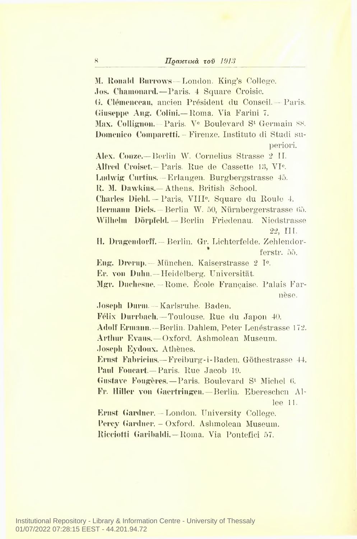31. Ronald Burrows— London. King's College. .Jos. Chamonard.—Paris. 4 Square Croisic. G. Clemenceau, aneien President du Conseil. - Paris. Giuseppe Aug. Coliui.— Roma. Via Farini 7. Max. Collignon. - Paris. V<sup>e</sup> Boulevard S<sup>t</sup> Germain 88. Domenico Comparetti. - Firenze. Instituto di Studi superiori. Alex. Conze.—Berlin W. Cornelius Strasse <sup>2</sup> II. Alfred Croiset. – Paris. Rue de Cassette 13, VI<sup>e</sup>. Ludwig Curtius. —Erlangen. Burgbergstrasse 45. R. M. Dawkins.— Athens. British School. Charles Diehl. - Paris, VIII<sup>e</sup>. Square du Roule 4. Hermann Diels. - Berlin W. 50, Nürnbergerstrasse 65. Wilhelm Dorpfeld. — Berlin Friedenau. Niedstrasse 22, III. H. Dragendorff. — Berlin. Gr. Lichterfelde. Zehlendorferstr. 55. Eng. Drerup.— Munchen. Kaiserstrasse <sup>2</sup> Ie. Er. von Duhn.—Heidelberg. Universitat. Mgr. Duchesne. — Rome. Ecole Francaise. Palais Farnese. Joseph Dunn. — Karlsruhe. Baden. Felix Durrhach. — Toulouse. Rue du Japon 40. Adolf Ermann.—Berlin. Dahlem, Peter Lenestrasse 172. Arthur Evans.—Oxford. Ashmolean Museum. Joseph Eydoux. Athenes. Ernst Fabricius.— Freiburg-i-Baden. Gothestrasse 44. Paul Foucart.—Paris. Rue Jacob 19. Gustave Fougeres. — Paris. Boulevard S' Michel 6. Fr. Hiller von Gaertringen.—Berlin. Ebereschcn Allee 11. Ernst Gardner. — London. University College. Percy Gardner. - Oxford. Ashmolean Museum. Ricciotti Garibaldi.—Roma, Via Pontefici 57.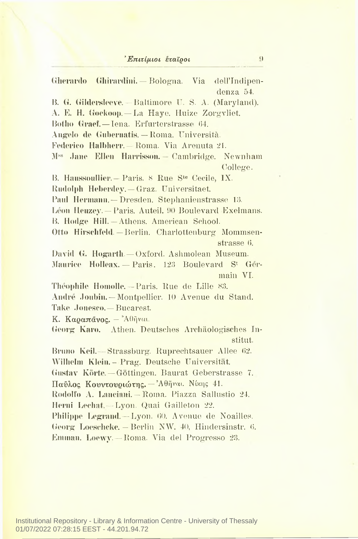## *Έπιτίμιοι εταίροι* (1)

Gherardo Ghirardini. — Bologna. Via dell'Indipendenza 54. 15. G. Gildersleeve.— Baltimore U. S. A. (Maryland). A. E. H. Goekoop.— La Haye. Huize Zorgvliet. Botho Graef.— Iena. Erfurterstrasse 64. Angelo de Gubernatis.— Roma. Universita. Federico Halbherr. — Roma. Via Arenuta 21. Mss Jane Ellen Harrisson. Cambridge. Newnham College. B. Haussoullier. — Paris. <sup>8</sup> Rue Ste Cecile, IX. Rudolph Heberdey. — Graz. Universitaet. Paul Hermann. —Dresden. Stephanienstrasse 13. Leon Heuzey. — Paris. Auteil. 90 Boulevard Exelmans. B. Hodge Hill.— Athens. American School. Otto Hirschfeld. - Berlin. Charlottenburg Mommsenstrasse 6. David G. Hogarth. — Oxford. Ashmolean Museum. Maurice Holleax. — Paris. 123 Boulevard S\* Germain VI. Theophile Homolle.— Paris. Rue de Lille 83. Andre Joubin. — Montpellier. 10 Avenue du Stand. Take .Ionesco.— Bucarest. K. Καραπάνος. — ΆΟήναι. Georg\* Karo. Athen. Deutsches Archaologisches Institut. Bruno Keil.— Strassburg. Ruprechtsauer Allee 62. Wilhelm Klein.- Prag. Deutsche Universitat. Gustav Korte. — Gottingen. Baurat Geberstrasse 7. Παύλος Κουντουριώτης. — Άθήναι. Νίκης 41. Rodolfo A. Lanciani. — Roma. Piazza Sallustio 24. Herni Lechat. — Lyon. Quai Gailleton 22. Philippe Legrand. — Lyon. 60. Avenue de Noailles. Georg Loeschcke. — Berlin NW. 40, Hindersinstr. 6. Ennnan. Loewy. — Roma. Via del Progresso 23.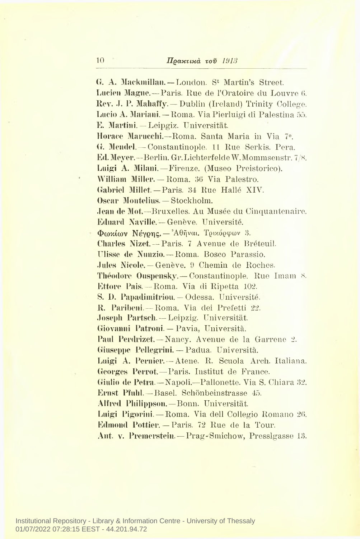G. A. Mackmillan.— London. S' Martin's Street. Lucien Magne.— Paris. Rue de l'Oratoire du Louvre 6. Rev. J. P. Mahaffy. — Dublin (Ireland) Trinity College. Lucio A. Mariani. — Roma. Via Pierluigi di Palestina 55. E. Martini. — Leipgiz. Universitat. Horace Marucchi.—Roma. Santa Maria in Via 7°. G. Mendel. — Constantinople. <sup>11</sup> Rue Serkis. Pera. Ed. Meyer.—Berlin. Gr.LichterfeldeW.Mommsenstr. 7/8. Luigi A. Milani.—Firenze. (Museo Preistorico). William Miller. — Roma. 36 Via Palestro. Gabriel Millet.-Paris. 34 Rue Halle XIV. Oscar Montelius. — Stockholm. .lean de Mot.—Bruxelles. Au Musee du Ginquantenaire. Eduard Naville. — Geneve. Universite. Φωκίων Νέγρης. — Άθήναι. Τρίκορφων 3. Charles Nizet.— Paris. <sup>7</sup> Avenue de Breteuil. TTlisse de Nunzio.— Roma. Bosco Parassio. .lules Nicole. — Geneve. 9 Chemin de Roches. Theodore Ouspenskv. — Constantinople. Rue Imam 8. Ettore Pais. — Roma. Via di Ripetta 102. S. 1). Papadimitriou. — Odessa. Universite. R. Paribeni.— Roma. Via dei Prefetti 22. Joseph Partsch. — Leipzig. Universitat. Giovanni Patroni. — Pavia, Universita. Paul Perdrizet. — Nancy. Avenue de la Garrene 2. Giuseppe Pellegrini. — Padua. Universita. Luigi A. Pernier. — Atene. R. Scuola Arch. Italiana. Georges Perrot.— Paris. Institut de France. Giulio de Petra.—Napoli.—Pallonette. Via S. Chiara 32. Ernst Pfuhl.— Basel. Schonbeinstrasse 45. Alfred Philippson.—Bonn. Universitat. Luigi Pigorini. — Roma. Via dell Collegio Romano 26. Edmond Pottier. — Paris. 72 Rue de la Tour. Ant. v. Premerstein. — Prag-Smichow, Presslgasse 13,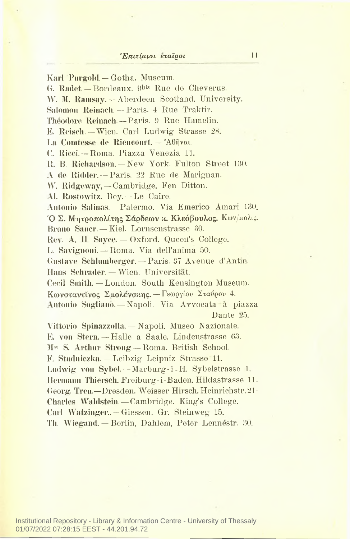Karl Purgold.— Gotha. Museum. G. Radet. — Bordeaux. 9bis Rue de Cheverus. W. M. Ramsay. -- Aberdeen Scotland. University. Salomon Reinach. — Paris. 4 Rue Traktir. Theodore Reinach. —Paris. 9 Rue Hamelin. E. Reisch. — Wien. Carl Ludwig Strasse 28. La Comtesse de Riencourt. — Άθήναι. C. Ricci.— Roma. Piazza Venezia 11. R. B. Richardson. - New York. Fulton Street 130. A de Ridder. — Paris. 22 Rue de Marignan. W. Ridgeway, — Cambridge. Fen Ditton. Al. Rostowitz. Bey. — Le Caire. Antonio Salinas. — Palermo. Via Emerico Amari 130. Σ. Μητροπολίτης Σάρδεων κ. Κλεόβουλος. Κων/πολις. Bruno Sauer. — Kiel. Lornsenstrasse 30. Rev. A. H Sayce. — Oxford. Queen's College. L. Savignoni. — Roma. Via dell'anima 50. Gustave Schlumherger. — Paris. 37 Avenue d'Antin. Hans Schrader. — Wien. Universitat. Cecil Smith. — London. South Kensington Museum. Κωνσταντίνος Σμολενσκης.— Γεωργίου Σταύρου 4. Antonio Sogliano. — Napoli. Via Avvocata a piazza Dante 25. Vittorio Spinazzolla.—Napoli. Museo Nazionale. E. von Stern. - Halle a Saale. Lindenstrasse 63. M<sup>ss</sup> S. Arthur Strong — Roma. British School. F. Studniczka. — Leibzig Leipniz Strasse 11. Ludwig von Syhel.—Marburg-i-H. Sybelstrasse 1. Hermann Thiersch. Freiburg-i-Baden. Hildastrasse 11. Georg. Treu.—Dresden. Weisser Hirsch. Heinrichstr. 21· Charles Waldstein. — Cambridge. King's College. Carl Watzinger.. — Giessen. Gr. Steinweg 15. Th. Wiegand. — Berlin, Dahlem, Peter Lennestr. 30.

Institutional Repository - Library & Information Centre - University of Thessaly 01/07/2022 07:28:15 EEST - 44.201.94.72